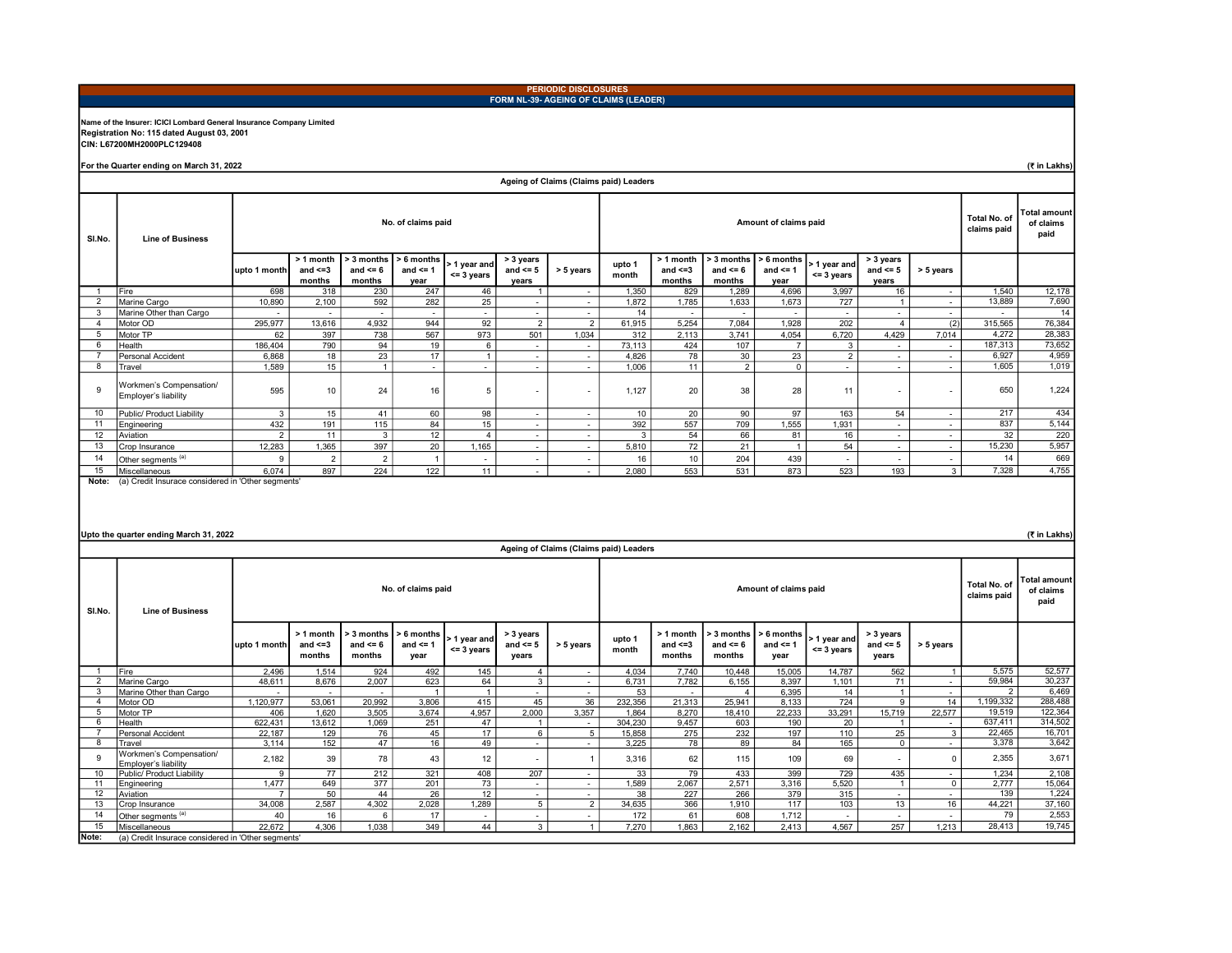#### PERIODIC DISCLOSURES FORM NL-39- AGEING OF CLAIMS (LEADER)

## Name of the Insurer: ICICI Lombard General Insurance Company Limited Registration No: 115 dated August 03, 2001 CIN: L67200MH2000PLC129408

For the Quarter ending on March 31, 2022

(₹ in Lakhs)

|                | Ageing of Claims (Claims paid) Leaders             |                |                                      |                                      |                                    |                              |                                    |                          |                 |                                      |                                      |                                      |                                          |                                    |                          |         |        |
|----------------|----------------------------------------------------|----------------|--------------------------------------|--------------------------------------|------------------------------------|------------------------------|------------------------------------|--------------------------|-----------------|--------------------------------------|--------------------------------------|--------------------------------------|------------------------------------------|------------------------------------|--------------------------|---------|--------|
| SI.No.         | <b>Line of Business</b>                            |                |                                      |                                      | No. of claims paid                 |                              |                                    |                          |                 |                                      |                                      | Total No. of<br>claims paid          | <b>Total amount</b><br>of claims<br>paid |                                    |                          |         |        |
|                |                                                    | upto 1 month   | > 1 month<br>and $\leq$ =3<br>months | > 3 months<br>and $\leq 6$<br>months | > 6 months<br>and $\leq$ 1<br>year | > 1 year and<br>$<=$ 3 years | > 3 years<br>and $\leq 5$<br>years | > 5 years                | upto 1<br>month | > 1 month<br>and $\leq$ =3<br>months | > 3 months<br>and $\leq 6$<br>months | $> 6$ months<br>and $\leq$ 1<br>year | > 1 year and<br>$<$ = 3 years            | > 3 years<br>and $\leq 5$<br>years | > 5 years                |         |        |
|                | Fire                                               | 698            | 318                                  | 230                                  | 247                                | 46                           |                                    | $\sim$                   | 1,350           | 829                                  | 1,289                                | 4,696                                | 3,997                                    | 16                                 | $\sim$                   | 1,540   | 12,178 |
| 2              | Marine Cargo                                       | 10,890         | 2,100                                | 592                                  | 282                                | 25                           | $\sim$                             | $\sim$                   | 1,872           | 1,785                                | 1,633                                | 1,673                                | 727                                      |                                    | $\overline{\phantom{a}}$ | 13,889  | 7,690  |
| 3              | Marine Other than Cargo                            |                |                                      |                                      | $\overline{\phantom{a}}$           | $\overline{\phantom{a}}$     | $\overline{\phantom{a}}$           | $\sim$                   | 14              | $\overline{\phantom{a}}$             | $\overline{\phantom{a}}$             |                                      |                                          |                                    | $\overline{\phantom{a}}$ | $\sim$  | 14     |
| $\overline{a}$ | Motor OD                                           | 295,977        | 13,616                               | 4,932                                | 944                                | 92                           | $\overline{2}$                     | $\overline{2}$           | 61,915          | 5,254                                | 7,084                                | 1,928                                | 202                                      |                                    | (2)                      | 315,565 | 76,384 |
| 5              | Motor TP                                           | 62             | 397                                  | 738                                  | 567                                | 973                          | 501                                | 1,034                    | 312             | 2,113                                | 3,741                                | 4,054                                | 6,720                                    | 4,429                              | 7,014                    | 4,272   | 28,383 |
| 6              | Health                                             | 186.404        | 790                                  | 94                                   | 19                                 | -6                           | $\sim$                             | $\overline{\phantom{a}}$ | 73,113          | 424                                  | 107                                  | $\overline{7}$                       | 3                                        |                                    | $\sim$                   | 187,313 | 73,652 |
|                | Personal Accident                                  | 6.868          | 18                                   | 23                                   | 17                                 |                              | $\sim$                             | $\sim$                   | 4,826           | 78                                   | 30                                   | 23                                   | 2                                        | $\sim$                             | $\overline{\phantom{a}}$ | 6,927   | 4,959  |
| 8              | Travel                                             | 1.589          | 15                                   |                                      | $\sim$                             | $\overline{\phantom{a}}$     | $\overline{\phantom{a}}$           | $\overline{\phantom{a}}$ | 1.006           | 11                                   | 2                                    | $\mathbf 0$                          | $\overline{\phantom{a}}$                 | $\overline{\phantom{a}}$           | $\overline{\phantom{a}}$ | 1.605   | 1,019  |
| 9              | Workmen's Compensation/<br>Employer's liability    | 595            | 10                                   | 24                                   | 16                                 | 5                            | $\sim$                             | $\overline{\phantom{a}}$ | 1,127           | 20                                   | 38                                   | 28                                   | 11                                       | $\overline{\phantom{a}}$           | $\overline{\phantom{a}}$ | 650     | 1,224  |
| 10             | Public/ Product Liability                          | 3              | 15                                   | 41                                   | 60                                 | 98                           | $\sim$                             | $\overline{\phantom{a}}$ | 10              | 20                                   | 90                                   | 97                                   | 163                                      | 54                                 | $\overline{\phantom{a}}$ | 217     | 434    |
| 11             | Engineering                                        | 432            | 191                                  | 115                                  | 84                                 | 15                           | $\sim$                             | $\sim$                   | 392             | 557                                  | 709                                  | 1,555                                | 1,931                                    | $\overline{\phantom{a}}$           | $\overline{\phantom{a}}$ | 837     | 5,144  |
| 12             | Aviation                                           | $\overline{2}$ | 11                                   | 3                                    | 12                                 | $\boldsymbol{\Delta}$        | $\sim$                             | $\overline{\phantom{a}}$ | 3               | 54                                   | 66                                   | 81                                   | 16                                       | $\overline{\phantom{a}}$           | $\overline{\phantom{a}}$ | 32      | 220    |
| 13             | Crop Insurance                                     | 12,283         | 1,365                                | 397                                  | 20                                 | 1,165                        | $\sim$                             | $\sim$                   | 5,810           | 72                                   | 21                                   | $\blacktriangleleft$                 | 54                                       | $\sim$                             | $\sim$                   | 15,230  | 5,957  |
| 14             | Other segments (a)                                 |                | $\overline{2}$                       | $\overline{2}$                       |                                    | $\tilde{\phantom{a}}$        | $\overline{\phantom{a}}$           | $\overline{\phantom{a}}$ | 16              | 10 <sup>10</sup>                     | 204                                  | 439                                  | $\overline{\phantom{0}}$                 | $\overline{\phantom{a}}$           | $\overline{\phantom{a}}$ | 14      | 669    |
| 15             | Miscellaneous                                      | 6.074          | 897                                  | 224                                  | 122                                | 11                           | $\sim$                             | $\sim$                   | 2,080           | 553                                  | 531                                  | 873                                  | 523                                      | 193                                | 3                        | 7,328   | 4,755  |
| Note:          | (a) Credit Insurace considered in 'Other segments' |                |                                      |                                      |                                    |                              |                                    |                          |                 |                                      |                                      |                                      |                                          |                                    |                          |         |        |

## Upto the quarter ending March 31, 2022

(₹ in Lakhs)

| Ageing of Claims (Claims paid) Leaders |                                                    |                                             |                                     |                                        |                                      |                                 |                                    |                          |                 |                                      |                                      |                                         |                               |                                    |                          |                                    |                                          |
|----------------------------------------|----------------------------------------------------|---------------------------------------------|-------------------------------------|----------------------------------------|--------------------------------------|---------------------------------|------------------------------------|--------------------------|-----------------|--------------------------------------|--------------------------------------|-----------------------------------------|-------------------------------|------------------------------------|--------------------------|------------------------------------|------------------------------------------|
| SI.No.                                 | <b>Line of Business</b>                            | No. of claims paid<br>Amount of claims paid |                                     |                                        |                                      |                                 |                                    |                          |                 |                                      |                                      |                                         |                               |                                    |                          | <b>Total No. of</b><br>claims paid | <b>Total amount</b><br>of claims<br>paid |
|                                        |                                                    | upto 1 month                                | > 1 month<br>and $\leq 3$<br>months | $> 3$ months<br>and $\leq 6$<br>months | $> 6$ months<br>and $\leq 1$<br>year | > 1 vear and I<br>$<$ = 3 years | > 3 years<br>and $\leq 5$<br>years | > 5 years                | upto 1<br>month | > 1 month<br>and $\leq$ =3<br>months | > 3 months<br>and $\leq 6$<br>months | $\geq 6$ months<br>and $\leq$ 1<br>year | > 1 vear and<br>$<$ = 3 years | > 3 years<br>and $\leq 5$<br>years | > 5 years                |                                    |                                          |
|                                        | Fire                                               | 2,496                                       | 1,514                               | 924                                    | 492                                  | 145                             | $\overline{4}$                     | $\sim$                   | 4,034           | 7,740                                | 10,448                               | 15,005                                  | 14,787                        | 562                                |                          | 5.575                              | 52,577                                   |
|                                        | Marine Cargo                                       | 48.611                                      | 8,676                               | 2,007                                  | 623                                  | 64                              | 3                                  | $\sim$                   | 6.731           | 7,782                                | 6,155                                | 8.397                                   | 1.101                         | 71                                 | $\sim$                   | 59,984                             | 30,237                                   |
| 3                                      | Marine Other than Cargo                            |                                             |                                     | $\overline{\phantom{a}}$               |                                      |                                 | $\sim$                             | $\sim$                   | 53              | $\sim$                               | 4                                    | 6.395                                   | 14                            |                                    | $\sim$                   | $\mathcal{P}$                      | 6,469                                    |
|                                        | Motor OD                                           | 1,120,977                                   | 53,061                              | 20,992                                 | 3,806                                | 415                             | 45                                 | 36                       | 232,356         | 21,313                               | 25,941                               | 8,133                                   | 724                           | 9                                  | 14                       | ,199,332                           | 288,488                                  |
| -5                                     | Motor TP                                           | 406                                         | 1.620                               | 3,505                                  | 3.674                                | 4.957                           | 2,000                              | 3,357                    | 1.864           | 8.270                                | 18.410                               | 22.233                                  | 33,291                        | 15,719                             | 22,577                   | 19.519                             | 122,364                                  |
|                                        | Health                                             | 622.431                                     | 13,612                              | 1.069                                  | 251                                  | 47                              |                                    | $\sim$                   | 304,230         | 9.457                                | 603                                  | 190                                     | 20                            |                                    | $\overline{\phantom{a}}$ | 637.411                            | 314,502                                  |
|                                        | <b>Personal Accident</b>                           | 22,187                                      | 129                                 | 76                                     | 45                                   | 17                              | 6                                  | 5                        | 15,858          | 275                                  | 232                                  | 197                                     | 110                           | 25                                 | 3                        | 22.465                             | 16,701                                   |
| 8                                      | Travel                                             | 3,114                                       | 152                                 | 47                                     | 16                                   | 49                              | $\overline{\phantom{a}}$           | $\sim$                   | 3,225           | 78                                   | 89                                   | 84                                      | 165                           | $\mathbf 0$                        | $\overline{\phantom{a}}$ | 3,378                              | 3,642                                    |
| 9                                      | Workmen's Compensation/<br>Emplover's liability    | 2,182                                       | 39                                  | 78                                     | 43                                   | 12                              |                                    |                          | 3,316           | 62                                   | 115                                  | 109                                     | 69                            | $\overline{\phantom{a}}$           |                          | 2,355                              | 3,671                                    |
| 10                                     | Public/ Product Liability                          | $\mathbf{Q}$                                | 77                                  | 212                                    | 321                                  | 408                             | 207                                | $\sim$                   | 33              | 79                                   | 433                                  | 399                                     | 729                           | 435                                | $\sim$                   | 1.234                              | 2,108                                    |
| 11                                     | Engineering                                        | 1,477                                       | 649                                 | 377                                    | 201                                  | 73                              | $\sim$                             | $\overline{\phantom{a}}$ | 1,589           | 2,067                                | 2,571                                | 3,316                                   | 5,520                         |                                    | $\Omega$                 | 2.777                              | 15,064                                   |
| 12                                     | Aviation                                           |                                             | 50                                  | 44                                     | 26                                   | 12                              | $\sim$                             | $\overline{\phantom{a}}$ | 38              | 227                                  | 266                                  | 379                                     | 315                           | $\sim$                             | $\sim$                   | 139                                | 1,224                                    |
| 13                                     | Crop Insurance                                     | 34,008                                      | 2,587                               | 4,302                                  | 2,028                                | 1.289                           | 5                                  | $\overline{2}$           | 34,635          | 366                                  | 1.910                                | 117                                     | 103                           | 13                                 | 16                       | 44,221                             | 37,160                                   |
| 14                                     | Other segments (a)                                 | 40                                          | 16                                  |                                        | 17                                   | $\sim$                          | $\overline{\phantom{a}}$           | $\overline{\phantom{a}}$ | 172             | 61                                   | 608                                  | 1.712                                   | $\blacksquare$                | $\overline{\phantom{a}}$           | $\overline{\phantom{a}}$ | 79                                 | 2,553                                    |
| 15                                     | Miscellaneous                                      | 22,672                                      | 4,306                               | 1.038                                  | 349                                  | 44                              | 3                                  |                          | 7,270           | 1.863                                | 2.162                                | 2.413                                   | 4,567                         | 257                                | 1.213                    | 28,413                             | 19,745                                   |
| Note:                                  | (a) Credit Insurace considered in 'Other segments' |                                             |                                     |                                        |                                      |                                 |                                    |                          |                 |                                      |                                      |                                         |                               |                                    |                          |                                    |                                          |